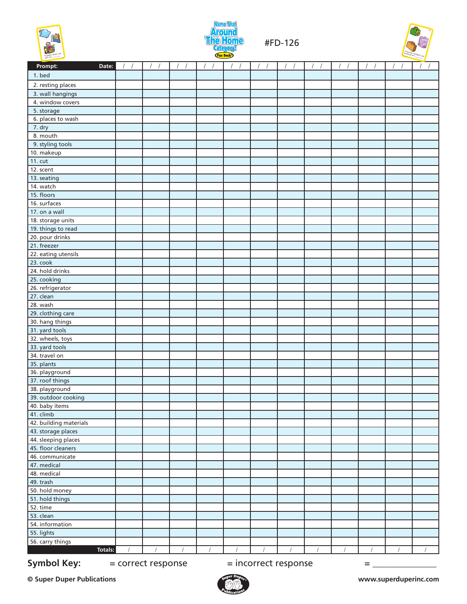



#FD-126



| Date:<br>Prompt:       |            |            |            |          | $\sqrt{ }$ |            |            |            |            |            |            | $\prime$   |
|------------------------|------------|------------|------------|----------|------------|------------|------------|------------|------------|------------|------------|------------|
| 1. bed                 |            |            |            |          |            |            |            |            |            |            |            |            |
| 2. resting places      |            |            |            |          |            |            |            |            |            |            |            |            |
| 3. wall hangings       |            |            |            |          |            |            |            |            |            |            |            |            |
| 4. window covers       |            |            |            |          |            |            |            |            |            |            |            |            |
| 5. storage             |            |            |            |          |            |            |            |            |            |            |            |            |
| 6. places to wash      |            |            |            |          |            |            |            |            |            |            |            |            |
| 7. dry                 |            |            |            |          |            |            |            |            |            |            |            |            |
| 8. mouth               |            |            |            |          |            |            |            |            |            |            |            |            |
| 9. styling tools       |            |            |            |          |            |            |            |            |            |            |            |            |
| 10. makeup             |            |            |            |          |            |            |            |            |            |            |            |            |
| 11. cut                |            |            |            |          |            |            |            |            |            |            |            |            |
| 12. scent              |            |            |            |          |            |            |            |            |            |            |            |            |
| 13. seating            |            |            |            |          |            |            |            |            |            |            |            |            |
| 14. watch              |            |            |            |          |            |            |            |            |            |            |            |            |
| 15. floors             |            |            |            |          |            |            |            |            |            |            |            |            |
| 16. surfaces           |            |            |            |          |            |            |            |            |            |            |            |            |
| 17. on a wall          |            |            |            |          |            |            |            |            |            |            |            |            |
| 18. storage units      |            |            |            |          |            |            |            |            |            |            |            |            |
| 19. things to read     |            |            |            |          |            |            |            |            |            |            |            |            |
| 20. pour drinks        |            |            |            |          |            |            |            |            |            |            |            |            |
| 21. freezer            |            |            |            |          |            |            |            |            |            |            |            |            |
| 22. eating utensils    |            |            |            |          |            |            |            |            |            |            |            |            |
| 23. cook               |            |            |            |          |            |            |            |            |            |            |            |            |
| 24. hold drinks        |            |            |            |          |            |            |            |            |            |            |            |            |
| 25. cooking            |            |            |            |          |            |            |            |            |            |            |            |            |
| 26. refrigerator       |            |            |            |          |            |            |            |            |            |            |            |            |
| 27. clean              |            |            |            |          |            |            |            |            |            |            |            |            |
| 28. wash               |            |            |            |          |            |            |            |            |            |            |            |            |
| 29. clothing care      |            |            |            |          |            |            |            |            |            |            |            |            |
| 30. hang things        |            |            |            |          |            |            |            |            |            |            |            |            |
| 31. yard tools         |            |            |            |          |            |            |            |            |            |            |            |            |
| 32. wheels, toys       |            |            |            |          |            |            |            |            |            |            |            |            |
| 33. yard tools         |            |            |            |          |            |            |            |            |            |            |            |            |
| 34. travel on          |            |            |            |          |            |            |            |            |            |            |            |            |
| 35. plants             |            |            |            |          |            |            |            |            |            |            |            |            |
| 36. playground         |            |            |            |          |            |            |            |            |            |            |            |            |
| 37. roof things        |            |            |            |          |            |            |            |            |            |            |            |            |
| 38. playground         |            |            |            |          |            |            |            |            |            |            |            |            |
| 39. outdoor cooking    |            |            |            |          |            |            |            |            |            |            |            |            |
| 40. baby items         |            |            |            |          |            |            |            |            |            |            |            |            |
| 41. climb              |            |            |            |          |            |            |            |            |            |            |            |            |
| 42. building materials |            |            |            |          |            |            |            |            |            |            |            |            |
| 43. storage places     |            |            |            |          |            |            |            |            |            |            |            |            |
| 44. sleeping places    |            |            |            |          |            |            |            |            |            |            |            |            |
| 45. floor cleaners     |            |            |            |          |            |            |            |            |            |            |            |            |
| 46. communicate        |            |            |            |          |            |            |            |            |            |            |            |            |
| 47. medical            |            |            |            |          |            |            |            |            |            |            |            |            |
| 48. medical            |            |            |            |          |            |            |            |            |            |            |            |            |
| 49. trash              |            |            |            |          |            |            |            |            |            |            |            |            |
| 50. hold money         |            |            |            |          |            |            |            |            |            |            |            |            |
| 51. hold things        |            |            |            |          |            |            |            |            |            |            |            |            |
| 52. time               |            |            |            |          |            |            |            |            |            |            |            |            |
| 53. clean              |            |            |            |          |            |            |            |            |            |            |            |            |
| 54. information        |            |            |            |          |            |            |            |            |            |            |            |            |
| 55. lights             |            |            |            |          |            |            |            |            |            |            |            |            |
| 56. carry things       |            |            |            |          |            |            |            |            |            |            |            |            |
| Totals:                | $\sqrt{2}$ | $\sqrt{2}$ | $\sqrt{2}$ | $\prime$ | $\sqrt{ }$ | $\sqrt{2}$ | $\sqrt{2}$ | $\sqrt{ }$ | $\sqrt{ }$ | $\sqrt{2}$ | $\sqrt{2}$ | $\sqrt{ }$ |
|                        |            |            |            |          |            |            |            |            |            |            |            |            |

**Symbol Key:**  $=$  correct response  $=$  incorrect response  $=$